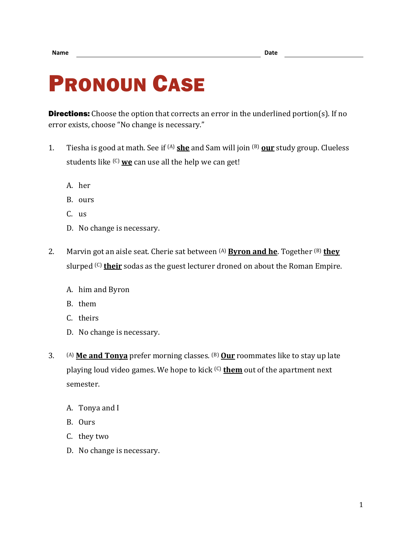## PRONOUN CASE

**Directions:** Choose the option that corrects an error in the underlined portion(s). If no error exists, choose "No change is necessary."

- 1. Tiesha is good at math. See if (A) **she** and Sam will join (B) **our** study group. Clueless students like (C) **we** can use all the help we can get!
	- A. her
	- B. ours
	- C. us
	- D. No change is necessary.
- 2. Marvin got an aisle seat. Cherie sat between (A) **Byron and he**. Together (B) **they** slurped <sup>(C)</sup> their sodas as the guest lecturer droned on about the Roman Empire.
	- A. him and Byron
	- B. them
	- C. theirs
	- D. No change is necessary.
- 3. (A) **Me and Tonya** prefer morning classes. (B) **Our** roommates like to stay up late playing loud video games. We hope to kick (C) **them** out of the apartment next semester.
	- A. Tonya and I
	- B. Ours
	- C. they two
	- D. No change is necessary.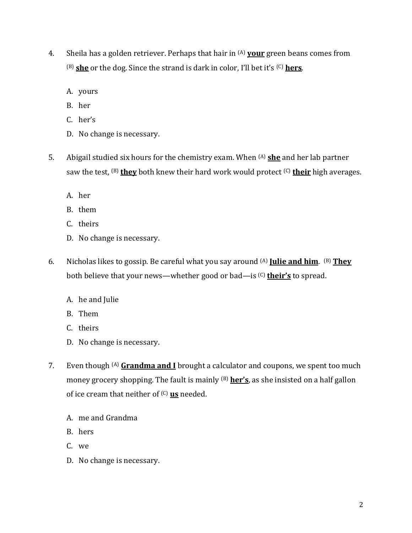- 4. Sheila has a golden retriever. Perhaps that hair in (A) **your** green beans comes from (B) **she** or the dog. Since the strand is dark in color, I'll bet it's (C) **hers**.
	- A. yours
	- B. her
	- C. her's
	- D. No change is necessary.
- 5. Abigail studied six hours for the chemistry exam. When (A) **she** and her lab partner saw the test, <sup>(B)</sup> they both knew their hard work would protect <sup>(C)</sup> their high averages.
	- A. her
	- B. them
	- C. theirs
	- D. No change is necessary.
- 6. Nicholas likes to gossip. Be careful what you say around (A) **Julie and him**. (B) **They** both believe that your news—whether good or bad—is (C) **their's** to spread.
	- A. he and Julie
	- B. Them
	- C. theirs
	- D. No change is necessary.
- 7. Even though (A) **Grandma and I** brought a calculator and coupons, we spent too much money grocery shopping. The fault is mainly <sup>(B)</sup> her's, as she insisted on a half gallon of ice cream that neither of (C) **us** needed.
	- A. me and Grandma
	- B. hers
	- C. we
	- D. No change is necessary.